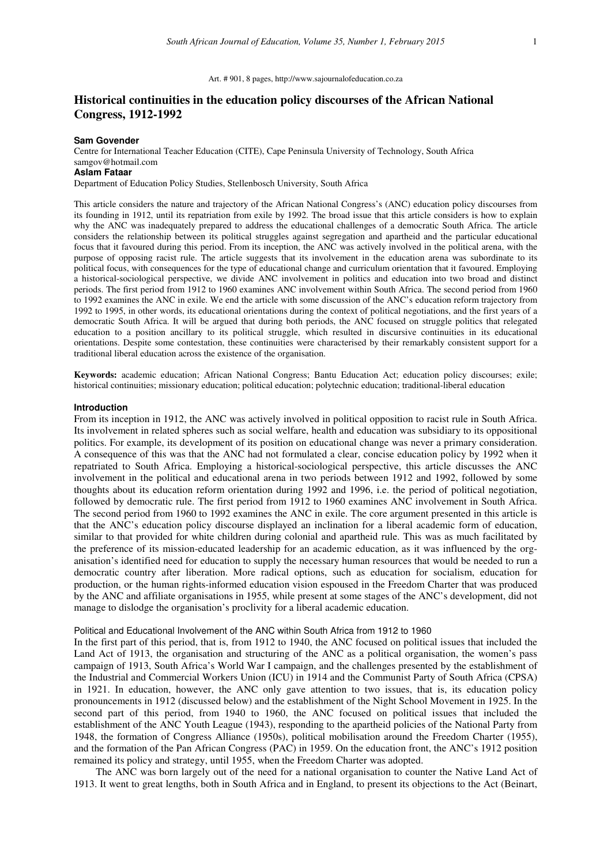#### Art. # 901, 8 pages, http://www.sajournalofeducation.co.za

# **Historical continuities in the education policy discourses of the African National Congress, 1912-1992**

## **Sam Govender**

Centre for International Teacher Education (CITE), Cape Peninsula University of Technology, South Africa samgov@hotmail.com **Aslam Fataar** 

Department of Education Policy Studies, Stellenbosch University, South Africa

This article considers the nature and trajectory of the African National Congress's (ANC) education policy discourses from its founding in 1912, until its repatriation from exile by 1992. The broad issue that this article considers is how to explain why the ANC was inadequately prepared to address the educational challenges of a democratic South Africa. The article considers the relationship between its political struggles against segregation and apartheid and the particular educational focus that it favoured during this period. From its inception, the ANC was actively involved in the political arena, with the purpose of opposing racist rule. The article suggests that its involvement in the education arena was subordinate to its political focus, with consequences for the type of educational change and curriculum orientation that it favoured. Employing a historical-sociological perspective, we divide ANC involvement in politics and education into two broad and distinct periods. The first period from 1912 to 1960 examines ANC involvement within South Africa. The second period from 1960 to 1992 examines the ANC in exile. We end the article with some discussion of the ANC's education reform trajectory from 1992 to 1995, in other words, its educational orientations during the context of political negotiations, and the first years of a democratic South Africa. It will be argued that during both periods, the ANC focused on struggle politics that relegated education to a position ancillary to its political struggle, which resulted in discursive continuities in its educational orientations. Despite some contestation, these continuities were characterised by their remarkably consistent support for a traditional liberal education across the existence of the organisation.

**Keywords:** academic education; African National Congress; Bantu Education Act; education policy discourses; exile; historical continuities; missionary education; political education; polytechnic education; traditional-liberal education

## **Introduction**

From its inception in 1912, the ANC was actively involved in political opposition to racist rule in South Africa. Its involvement in related spheres such as social welfare, health and education was subsidiary to its oppositional politics. For example, its development of its position on educational change was never a primary consideration. A consequence of this was that the ANC had not formulated a clear, concise education policy by 1992 when it repatriated to South Africa. Employing a historical-sociological perspective, this article discusses the ANC involvement in the political and educational arena in two periods between 1912 and 1992, followed by some thoughts about its education reform orientation during 1992 and 1996, i.e. the period of political negotiation, followed by democratic rule. The first period from 1912 to 1960 examines ANC involvement in South Africa. The second period from 1960 to 1992 examines the ANC in exile. The core argument presented in this article is that the ANC's education policy discourse displayed an inclination for a liberal academic form of education, similar to that provided for white children during colonial and apartheid rule. This was as much facilitated by the preference of its mission-educated leadership for an academic education, as it was influenced by the organisation's identified need for education to supply the necessary human resources that would be needed to run a democratic country after liberation. More radical options, such as education for socialism, education for production, or the human rights-informed education vision espoused in the Freedom Charter that was produced by the ANC and affiliate organisations in 1955, while present at some stages of the ANC's development, did not manage to dislodge the organisation's proclivity for a liberal academic education.

#### Political and Educational Involvement of the ANC within South Africa from 1912 to 1960

In the first part of this period, that is, from 1912 to 1940, the ANC focused on political issues that included the Land Act of 1913, the organisation and structuring of the ANC as a political organisation, the women's pass campaign of 1913, South Africa's World War I campaign, and the challenges presented by the establishment of the Industrial and Commercial Workers Union (ICU) in 1914 and the Communist Party of South Africa (CPSA) in 1921. In education, however, the ANC only gave attention to two issues, that is, its education policy pronouncements in 1912 (discussed below) and the establishment of the Night School Movement in 1925. In the second part of this period, from 1940 to 1960, the ANC focused on political issues that included the establishment of the ANC Youth League (1943), responding to the apartheid policies of the National Party from 1948, the formation of Congress Alliance (1950s), political mobilisation around the Freedom Charter (1955), and the formation of the Pan African Congress (PAC) in 1959. On the education front, the ANC's 1912 position remained its policy and strategy, until 1955, when the Freedom Charter was adopted.

The ANC was born largely out of the need for a national organisation to counter the Native Land Act of 1913. It went to great lengths, both in South Africa and in England, to present its objections to the Act (Beinart,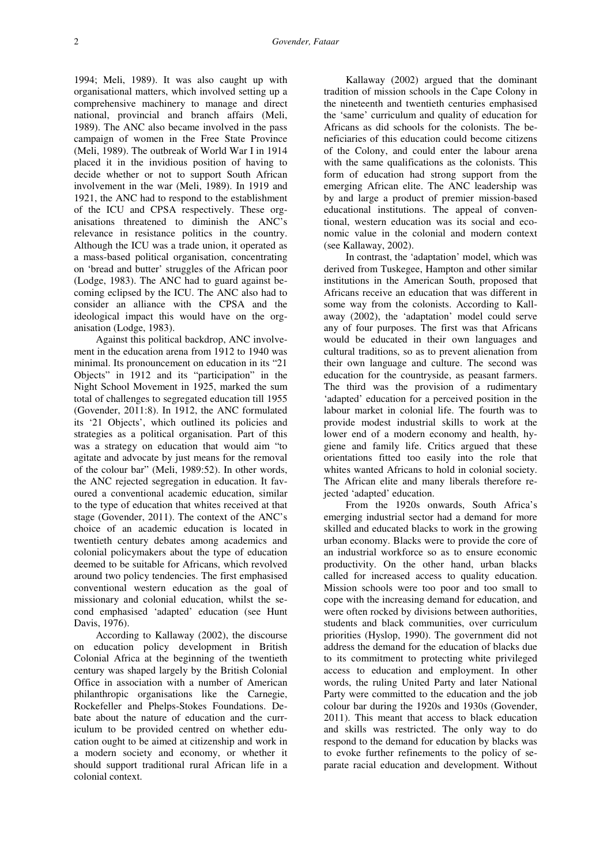1994; Meli, 1989). It was also caught up with organisational matters, which involved setting up a comprehensive machinery to manage and direct national, provincial and branch affairs (Meli, 1989). The ANC also became involved in the pass campaign of women in the Free State Province (Meli, 1989). The outbreak of World War I in 1914 placed it in the invidious position of having to decide whether or not to support South African involvement in the war (Meli, 1989). In 1919 and 1921, the ANC had to respond to the establishment of the ICU and CPSA respectively. These organisations threatened to diminish the ANC's relevance in resistance politics in the country. Although the ICU was a trade union, it operated as a mass-based political organisation, concentrating on 'bread and butter' struggles of the African poor (Lodge, 1983). The ANC had to guard against becoming eclipsed by the ICU. The ANC also had to consider an alliance with the CPSA and the ideological impact this would have on the organisation (Lodge, 1983).

Against this political backdrop, ANC involvement in the education arena from 1912 to 1940 was minimal. Its pronouncement on education in its "21 Objects" in 1912 and its "participation" in the Night School Movement in 1925, marked the sum total of challenges to segregated education till 1955 (Govender, 2011:8). In 1912, the ANC formulated its '21 Objects', which outlined its policies and strategies as a political organisation. Part of this was a strategy on education that would aim "to agitate and advocate by just means for the removal of the colour bar" (Meli, 1989:52). In other words, the ANC rejected segregation in education. It favoured a conventional academic education, similar to the type of education that whites received at that stage (Govender, 2011). The context of the ANC's choice of an academic education is located in twentieth century debates among academics and colonial policymakers about the type of education deemed to be suitable for Africans, which revolved around two policy tendencies. The first emphasised conventional western education as the goal of missionary and colonial education, whilst the second emphasised 'adapted' education (see Hunt Davis, 1976).

According to Kallaway (2002), the discourse on education policy development in British Colonial Africa at the beginning of the twentieth century was shaped largely by the British Colonial Office in association with a number of American philanthropic organisations like the Carnegie, Rockefeller and Phelps-Stokes Foundations. Debate about the nature of education and the curriculum to be provided centred on whether education ought to be aimed at citizenship and work in a modern society and economy, or whether it should support traditional rural African life in a colonial context.

Kallaway (2002) argued that the dominant tradition of mission schools in the Cape Colony in the nineteenth and twentieth centuries emphasised the 'same' curriculum and quality of education for Africans as did schools for the colonists. The beneficiaries of this education could become citizens of the Colony, and could enter the labour arena with the same qualifications as the colonists. This form of education had strong support from the emerging African elite. The ANC leadership was by and large a product of premier mission-based educational institutions. The appeal of conventional, western education was its social and economic value in the colonial and modern context (see Kallaway, 2002).

In contrast, the 'adaptation' model, which was derived from Tuskegee, Hampton and other similar institutions in the American South, proposed that Africans receive an education that was different in some way from the colonists. According to Kallaway (2002), the 'adaptation' model could serve any of four purposes. The first was that Africans would be educated in their own languages and cultural traditions, so as to prevent alienation from their own language and culture. The second was education for the countryside, as peasant farmers. The third was the provision of a rudimentary 'adapted' education for a perceived position in the labour market in colonial life. The fourth was to provide modest industrial skills to work at the lower end of a modern economy and health, hygiene and family life. Critics argued that these orientations fitted too easily into the role that whites wanted Africans to hold in colonial society. The African elite and many liberals therefore rejected 'adapted' education.

From the 1920s onwards, South Africa's emerging industrial sector had a demand for more skilled and educated blacks to work in the growing urban economy. Blacks were to provide the core of an industrial workforce so as to ensure economic productivity. On the other hand, urban blacks called for increased access to quality education. Mission schools were too poor and too small to cope with the increasing demand for education, and were often rocked by divisions between authorities, students and black communities, over curriculum priorities (Hyslop, 1990). The government did not address the demand for the education of blacks due to its commitment to protecting white privileged access to education and employment. In other words, the ruling United Party and later National Party were committed to the education and the job colour bar during the 1920s and 1930s (Govender, 2011). This meant that access to black education and skills was restricted. The only way to do respond to the demand for education by blacks was to evoke further refinements to the policy of separate racial education and development. Without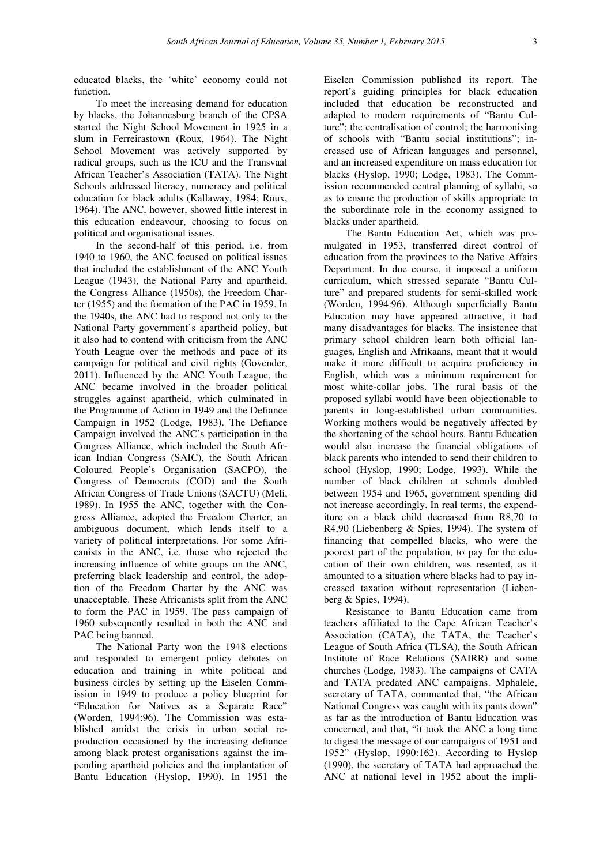educated blacks, the 'white' economy could not function.

To meet the increasing demand for education by blacks, the Johannesburg branch of the CPSA started the Night School Movement in 1925 in a slum in Ferreirastown (Roux, 1964). The Night School Movement was actively supported by radical groups, such as the ICU and the Transvaal African Teacher's Association (TATA). The Night Schools addressed literacy, numeracy and political education for black adults (Kallaway, 1984; Roux, 1964). The ANC, however, showed little interest in this education endeavour, choosing to focus on political and organisational issues.

In the second-half of this period, i.e. from 1940 to 1960, the ANC focused on political issues that included the establishment of the ANC Youth League (1943), the National Party and apartheid, the Congress Alliance (1950s), the Freedom Charter (1955) and the formation of the PAC in 1959. In the 1940s, the ANC had to respond not only to the National Party government's apartheid policy, but it also had to contend with criticism from the ANC Youth League over the methods and pace of its campaign for political and civil rights (Govender, 2011). Influenced by the ANC Youth League, the ANC became involved in the broader political struggles against apartheid, which culminated in the Programme of Action in 1949 and the Defiance Campaign in 1952 (Lodge, 1983). The Defiance Campaign involved the ANC's participation in the Congress Alliance, which included the South African Indian Congress (SAIC), the South African Coloured People's Organisation (SACPO), the Congress of Democrats (COD) and the South African Congress of Trade Unions (SACTU) (Meli, 1989). In 1955 the ANC, together with the Congress Alliance, adopted the Freedom Charter, an ambiguous document, which lends itself to a variety of political interpretations. For some Africanists in the ANC, i.e. those who rejected the increasing influence of white groups on the ANC, preferring black leadership and control, the adoption of the Freedom Charter by the ANC was unacceptable. These Africanists split from the ANC to form the PAC in 1959. The pass campaign of 1960 subsequently resulted in both the ANC and PAC being banned.

The National Party won the 1948 elections and responded to emergent policy debates on education and training in white political and business circles by setting up the Eiselen Commission in 1949 to produce a policy blueprint for "Education for Natives as a Separate Race" (Worden, 1994:96). The Commission was established amidst the crisis in urban social reproduction occasioned by the increasing defiance among black protest organisations against the impending apartheid policies and the implantation of Bantu Education (Hyslop, 1990). In 1951 the

Eiselen Commission published its report. The report's guiding principles for black education included that education be reconstructed and adapted to modern requirements of "Bantu Culture"; the centralisation of control; the harmonising of schools with "Bantu social institutions"; increased use of African languages and personnel, and an increased expenditure on mass education for blacks (Hyslop, 1990; Lodge, 1983). The Commission recommended central planning of syllabi, so as to ensure the production of skills appropriate to the subordinate role in the economy assigned to blacks under apartheid.

The Bantu Education Act, which was promulgated in 1953, transferred direct control of education from the provinces to the Native Affairs Department. In due course, it imposed a uniform curriculum, which stressed separate "Bantu Culture" and prepared students for semi-skilled work (Worden, 1994:96). Although superficially Bantu Education may have appeared attractive, it had many disadvantages for blacks. The insistence that primary school children learn both official languages, English and Afrikaans, meant that it would make it more difficult to acquire proficiency in English, which was a minimum requirement for most white-collar jobs. The rural basis of the proposed syllabi would have been objectionable to parents in long-established urban communities. Working mothers would be negatively affected by the shortening of the school hours. Bantu Education would also increase the financial obligations of black parents who intended to send their children to school (Hyslop, 1990; Lodge, 1993). While the number of black children at schools doubled between 1954 and 1965, government spending did not increase accordingly. In real terms, the expenditure on a black child decreased from R8,70 to R4,90 (Liebenberg & Spies, 1994). The system of financing that compelled blacks, who were the poorest part of the population, to pay for the education of their own children, was resented, as it amounted to a situation where blacks had to pay increased taxation without representation (Liebenberg & Spies, 1994).

Resistance to Bantu Education came from teachers affiliated to the Cape African Teacher's Association (CATA), the TATA, the Teacher's League of South Africa (TLSA), the South African Institute of Race Relations (SAIRR) and some churches (Lodge, 1983). The campaigns of CATA and TATA predated ANC campaigns. Mphalele, secretary of TATA, commented that, "the African National Congress was caught with its pants down" as far as the introduction of Bantu Education was concerned, and that, "it took the ANC a long time to digest the message of our campaigns of 1951 and 1952" (Hyslop, 1990:162). According to Hyslop (1990), the secretary of TATA had approached the ANC at national level in 1952 about the impli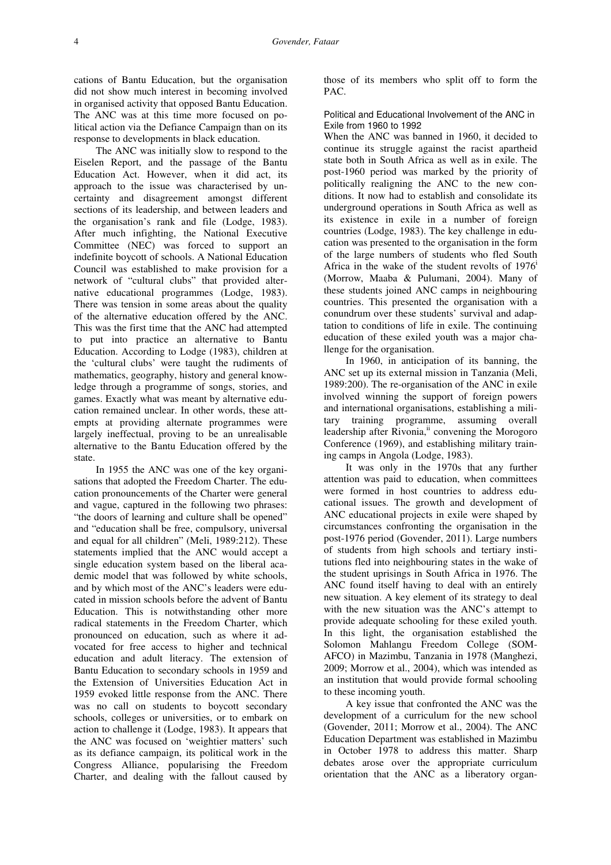cations of Bantu Education, but the organisation did not show much interest in becoming involved in organised activity that opposed Bantu Education. The ANC was at this time more focused on political action via the Defiance Campaign than on its response to developments in black education.

The ANC was initially slow to respond to the Eiselen Report, and the passage of the Bantu Education Act. However, when it did act, its approach to the issue was characterised by uncertainty and disagreement amongst different sections of its leadership, and between leaders and the organisation's rank and file (Lodge, 1983). After much infighting, the National Executive Committee (NEC) was forced to support an indefinite boycott of schools. A National Education Council was established to make provision for a network of "cultural clubs" that provided alternative educational programmes (Lodge, 1983). There was tension in some areas about the quality of the alternative education offered by the ANC. This was the first time that the ANC had attempted to put into practice an alternative to Bantu Education. According to Lodge (1983), children at the 'cultural clubs' were taught the rudiments of mathematics, geography, history and general knowledge through a programme of songs, stories, and games. Exactly what was meant by alternative education remained unclear. In other words, these attempts at providing alternate programmes were largely ineffectual, proving to be an unrealisable alternative to the Bantu Education offered by the state.

In 1955 the ANC was one of the key organisations that adopted the Freedom Charter. The education pronouncements of the Charter were general and vague, captured in the following two phrases: "the doors of learning and culture shall be opened" and "education shall be free, compulsory, universal and equal for all children" (Meli, 1989:212). These statements implied that the ANC would accept a single education system based on the liberal academic model that was followed by white schools, and by which most of the ANC's leaders were educated in mission schools before the advent of Bantu Education. This is notwithstanding other more radical statements in the Freedom Charter, which pronounced on education, such as where it advocated for free access to higher and technical education and adult literacy. The extension of Bantu Education to secondary schools in 1959 and the Extension of Universities Education Act in 1959 evoked little response from the ANC. There was no call on students to boycott secondary schools, colleges or universities, or to embark on action to challenge it (Lodge, 1983). It appears that the ANC was focused on 'weightier matters' such as its defiance campaign, its political work in the Congress Alliance, popularising the Freedom Charter, and dealing with the fallout caused by

those of its members who split off to form the PAC.

Political and Educational Involvement of the ANC in Exile from 1960 to 1992

When the ANC was banned in 1960, it decided to continue its struggle against the racist apartheid state both in South Africa as well as in exile. The post-1960 period was marked by the priority of politically realigning the ANC to the new conditions. It now had to establish and consolidate its underground operations in South Africa as well as its existence in exile in a number of foreign countries (Lodge, 1983). The key challenge in education was presented to the organisation in the form of the large numbers of students who fled South Africa in the wake of the student revolts of  $1976<sup>i</sup>$ (Morrow, Maaba & Pulumani, 2004). Many of these students joined ANC camps in neighbouring countries. This presented the organisation with a conundrum over these students' survival and adaptation to conditions of life in exile. The continuing education of these exiled youth was a major challenge for the organisation.

In 1960, in anticipation of its banning, the ANC set up its external mission in Tanzania (Meli, 1989:200). The re-organisation of the ANC in exile involved winning the support of foreign powers and international organisations, establishing a military training programme, assuming overall leadership after Rivonia,<sup>ii</sup> convening the Morogoro Conference (1969), and establishing military training camps in Angola (Lodge, 1983).

It was only in the 1970s that any further attention was paid to education, when committees were formed in host countries to address educational issues. The growth and development of ANC educational projects in exile were shaped by circumstances confronting the organisation in the post-1976 period (Govender, 2011). Large numbers of students from high schools and tertiary institutions fled into neighbouring states in the wake of the student uprisings in South Africa in 1976. The ANC found itself having to deal with an entirely new situation. A key element of its strategy to deal with the new situation was the ANC's attempt to provide adequate schooling for these exiled youth. In this light, the organisation established the Solomon Mahlangu Freedom College (SOM-AFCO) in Mazimbu, Tanzania in 1978 (Manghezi, 2009; Morrow et al., 2004), which was intended as an institution that would provide formal schooling to these incoming youth.

A key issue that confronted the ANC was the development of a curriculum for the new school (Govender, 2011; Morrow et al., 2004). The ANC Education Department was established in Mazimbu in October 1978 to address this matter. Sharp debates arose over the appropriate curriculum orientation that the ANC as a liberatory organ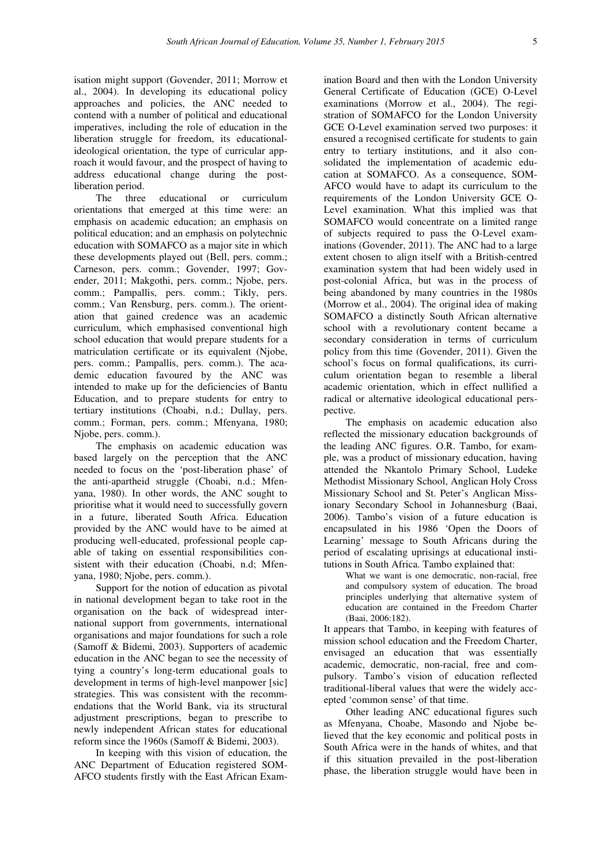isation might support (Govender, 2011; Morrow et al., 2004). In developing its educational policy approaches and policies, the ANC needed to contend with a number of political and educational imperatives, including the role of education in the liberation struggle for freedom, its educationalideological orientation, the type of curricular approach it would favour, and the prospect of having to address educational change during the postliberation period.

The three educational or curriculum orientations that emerged at this time were: an emphasis on academic education; an emphasis on political education; and an emphasis on polytechnic education with SOMAFCO as a major site in which these developments played out (Bell, pers. comm.; Carneson, pers. comm.; Govender, 1997; Govender, 2011; Makgothi, pers. comm.; Njobe, pers. comm.; Pampallis, pers. comm.; Tikly, pers. comm.; Van Rensburg, pers. comm.). The orientation that gained credence was an academic curriculum, which emphasised conventional high school education that would prepare students for a matriculation certificate or its equivalent (Njobe, pers. comm.; Pampallis, pers. comm.). The academic education favoured by the ANC was intended to make up for the deficiencies of Bantu Education, and to prepare students for entry to tertiary institutions (Choabi, n.d.; Dullay, pers. comm.; Forman, pers. comm.; Mfenyana, 1980; Njobe, pers. comm.).

The emphasis on academic education was based largely on the perception that the ANC needed to focus on the 'post-liberation phase' of the anti-apartheid struggle (Choabi, n.d.; Mfenyana, 1980). In other words, the ANC sought to prioritise what it would need to successfully govern in a future, liberated South Africa. Education provided by the ANC would have to be aimed at producing well-educated, professional people capable of taking on essential responsibilities consistent with their education (Choabi, n.d; Mfenyana, 1980; Njobe, pers. comm.).

Support for the notion of education as pivotal in national development began to take root in the organisation on the back of widespread international support from governments, international organisations and major foundations for such a role (Samoff & Bidemi, 2003). Supporters of academic education in the ANC began to see the necessity of tying a country's long-term educational goals to development in terms of high-level manpower [sic] strategies. This was consistent with the recommendations that the World Bank, via its structural adjustment prescriptions, began to prescribe to newly independent African states for educational reform since the 1960s (Samoff & Bidemi, 2003).

In keeping with this vision of education, the ANC Department of Education registered SOM-AFCO students firstly with the East African Exam-

ination Board and then with the London University General Certificate of Education (GCE) O-Level examinations (Morrow et al., 2004). The registration of SOMAFCO for the London University GCE O-Level examination served two purposes: it ensured a recognised certificate for students to gain entry to tertiary institutions, and it also consolidated the implementation of academic education at SOMAFCO. As a consequence, SOM-AFCO would have to adapt its curriculum to the requirements of the London University GCE O-Level examination. What this implied was that SOMAFCO would concentrate on a limited range of subjects required to pass the O-Level examinations (Govender, 2011). The ANC had to a large extent chosen to align itself with a British-centred examination system that had been widely used in post-colonial Africa, but was in the process of being abandoned by many countries in the 1980s (Morrow et al., 2004). The original idea of making SOMAFCO a distinctly South African alternative school with a revolutionary content became a secondary consideration in terms of curriculum policy from this time (Govender, 2011). Given the school's focus on formal qualifications, its curriculum orientation began to resemble a liberal academic orientation, which in effect nullified a radical or alternative ideological educational perspective.

The emphasis on academic education also reflected the missionary education backgrounds of the leading ANC figures. O.R. Tambo, for example, was a product of missionary education, having attended the Nkantolo Primary School, Ludeke Methodist Missionary School, Anglican Holy Cross Missionary School and St. Peter's Anglican Missionary Secondary School in Johannesburg (Baai, 2006). Tambo's vision of a future education is encapsulated in his 1986 'Open the Doors of Learning' message to South Africans during the period of escalating uprisings at educational institutions in South Africa. Tambo explained that:

What we want is one democratic, non-racial, free and compulsory system of education. The broad principles underlying that alternative system of education are contained in the Freedom Charter (Baai, 2006:182).

It appears that Tambo, in keeping with features of mission school education and the Freedom Charter, envisaged an education that was essentially academic, democratic, non-racial, free and compulsory. Tambo's vision of education reflected traditional-liberal values that were the widely accepted 'common sense' of that time.

Other leading ANC educational figures such as Mfenyana, Choabe, Masondo and Njobe believed that the key economic and political posts in South Africa were in the hands of whites, and that if this situation prevailed in the post-liberation phase, the liberation struggle would have been in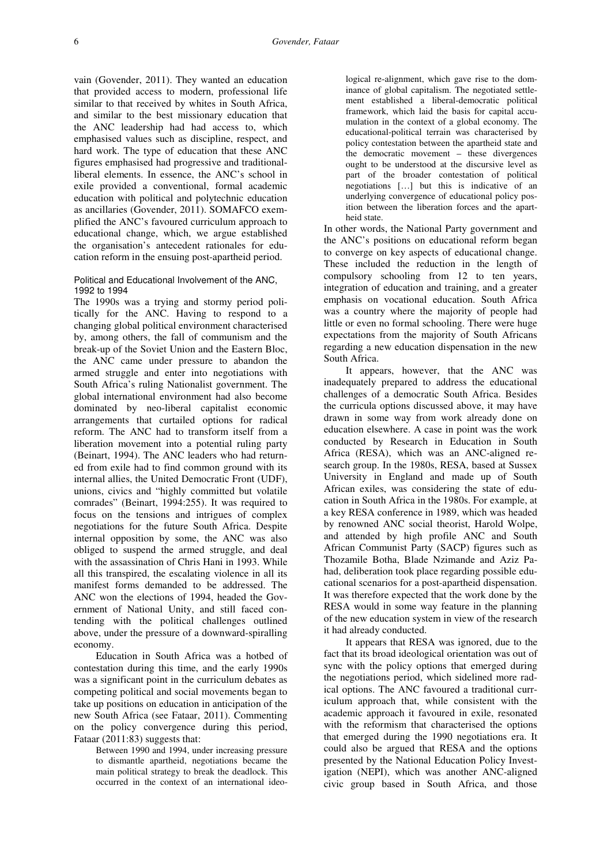vain (Govender, 2011). They wanted an education that provided access to modern, professional life similar to that received by whites in South Africa, and similar to the best missionary education that the ANC leadership had had access to, which emphasised values such as discipline, respect, and hard work. The type of education that these ANC figures emphasised had progressive and traditionalliberal elements. In essence, the ANC's school in exile provided a conventional, formal academic education with political and polytechnic education as ancillaries (Govender, 2011). SOMAFCO exemplified the ANC's favoured curriculum approach to educational change, which, we argue established the organisation's antecedent rationales for education reform in the ensuing post-apartheid period.

## Political and Educational Involvement of the ANC, 1992 to 1994

The 1990s was a trying and stormy period politically for the ANC. Having to respond to a changing global political environment characterised by, among others, the fall of communism and the break-up of the Soviet Union and the Eastern Bloc, the ANC came under pressure to abandon the armed struggle and enter into negotiations with South Africa's ruling Nationalist government. The global international environment had also become dominated by neo-liberal capitalist economic arrangements that curtailed options for radical reform. The ANC had to transform itself from a liberation movement into a potential ruling party (Beinart, 1994). The ANC leaders who had returned from exile had to find common ground with its internal allies, the United Democratic Front (UDF), unions, civics and "highly committed but volatile comrades" (Beinart, 1994:255). It was required to focus on the tensions and intrigues of complex negotiations for the future South Africa. Despite internal opposition by some, the ANC was also obliged to suspend the armed struggle, and deal with the assassination of Chris Hani in 1993. While all this transpired, the escalating violence in all its manifest forms demanded to be addressed. The ANC won the elections of 1994, headed the Government of National Unity, and still faced contending with the political challenges outlined above, under the pressure of a downward-spiralling economy.

Education in South Africa was a hotbed of contestation during this time, and the early 1990s was a significant point in the curriculum debates as competing political and social movements began to take up positions on education in anticipation of the new South Africa (see Fataar, 2011). Commenting on the policy convergence during this period, Fataar (2011:83) suggests that:

> Between 1990 and 1994, under increasing pressure to dismantle apartheid, negotiations became the main political strategy to break the deadlock. This occurred in the context of an international ideo-

logical re-alignment, which gave rise to the dominance of global capitalism. The negotiated settlement established a liberal-democratic political framework, which laid the basis for capital accumulation in the context of a global economy. The educational-political terrain was characterised by policy contestation between the apartheid state and the democratic movement – these divergences ought to be understood at the discursive level as part of the broader contestation of political negotiations […] but this is indicative of an underlying convergence of educational policy position between the liberation forces and the apartheid state.

In other words, the National Party government and the ANC's positions on educational reform began to converge on key aspects of educational change. These included the reduction in the length of compulsory schooling from 12 to ten years, integration of education and training, and a greater emphasis on vocational education. South Africa was a country where the majority of people had little or even no formal schooling. There were huge expectations from the majority of South Africans regarding a new education dispensation in the new South Africa.

It appears, however, that the ANC was inadequately prepared to address the educational challenges of a democratic South Africa. Besides the curricula options discussed above, it may have drawn in some way from work already done on education elsewhere. A case in point was the work conducted by Research in Education in South Africa (RESA), which was an ANC-aligned research group. In the 1980s, RESA, based at Sussex University in England and made up of South African exiles, was considering the state of education in South Africa in the 1980s. For example, at a key RESA conference in 1989, which was headed by renowned ANC social theorist, Harold Wolpe, and attended by high profile ANC and South African Communist Party (SACP) figures such as Thozamile Botha, Blade Nzimande and Aziz Pahad, deliberation took place regarding possible educational scenarios for a post-apartheid dispensation. It was therefore expected that the work done by the RESA would in some way feature in the planning of the new education system in view of the research it had already conducted.

It appears that RESA was ignored, due to the fact that its broad ideological orientation was out of sync with the policy options that emerged during the negotiations period, which sidelined more radical options. The ANC favoured a traditional curriculum approach that, while consistent with the academic approach it favoured in exile, resonated with the reformism that characterised the options that emerged during the 1990 negotiations era. It could also be argued that RESA and the options presented by the National Education Policy Investigation (NEPI), which was another ANC-aligned civic group based in South Africa, and those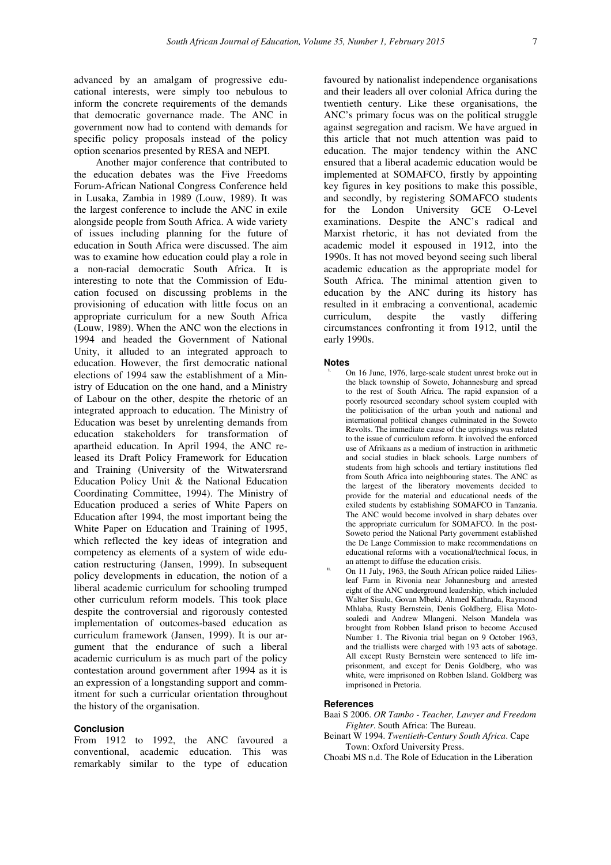advanced by an amalgam of progressive educational interests, were simply too nebulous to inform the concrete requirements of the demands that democratic governance made. The ANC in government now had to contend with demands for specific policy proposals instead of the policy option scenarios presented by RESA and NEPI.

Another major conference that contributed to the education debates was the Five Freedoms Forum-African National Congress Conference held in Lusaka, Zambia in 1989 (Louw, 1989). It was the largest conference to include the ANC in exile alongside people from South Africa. A wide variety of issues including planning for the future of education in South Africa were discussed. The aim was to examine how education could play a role in a non-racial democratic South Africa. It is interesting to note that the Commission of Education focused on discussing problems in the provisioning of education with little focus on an appropriate curriculum for a new South Africa (Louw, 1989). When the ANC won the elections in 1994 and headed the Government of National Unity, it alluded to an integrated approach to education. However, the first democratic national elections of 1994 saw the establishment of a Ministry of Education on the one hand, and a Ministry of Labour on the other, despite the rhetoric of an integrated approach to education. The Ministry of Education was beset by unrelenting demands from education stakeholders for transformation of apartheid education. In April 1994, the ANC released its Draft Policy Framework for Education and Training (University of the Witwatersrand Education Policy Unit & the National Education Coordinating Committee, 1994). The Ministry of Education produced a series of White Papers on Education after 1994, the most important being the White Paper on Education and Training of 1995, which reflected the key ideas of integration and competency as elements of a system of wide education restructuring (Jansen, 1999). In subsequent policy developments in education, the notion of a liberal academic curriculum for schooling trumped other curriculum reform models. This took place despite the controversial and rigorously contested implementation of outcomes-based education as curriculum framework (Jansen, 1999). It is our argument that the endurance of such a liberal academic curriculum is as much part of the policy contestation around government after 1994 as it is an expression of a longstanding support and commitment for such a curricular orientation throughout the history of the organisation.

### **Conclusion**

From 1912 to 1992, the ANC favoured a conventional, academic education. This was remarkably similar to the type of education favoured by nationalist independence organisations and their leaders all over colonial Africa during the twentieth century. Like these organisations, the ANC's primary focus was on the political struggle against segregation and racism. We have argued in this article that not much attention was paid to education. The major tendency within the ANC ensured that a liberal academic education would be implemented at SOMAFCO, firstly by appointing key figures in key positions to make this possible, and secondly, by registering SOMAFCO students for the London University GCE O-Level examinations. Despite the ANC's radical and Marxist rhetoric, it has not deviated from the academic model it espoused in 1912, into the 1990s. It has not moved beyond seeing such liberal academic education as the appropriate model for South Africa. The minimal attention given to education by the ANC during its history has resulted in it embracing a conventional, academic curriculum, despite the vastly differing circumstances confronting it from 1912, until the early 1990s.

#### **Notes**

- On 16 June, 1976, large-scale student unrest broke out in the black township of Soweto, Johannesburg and spread to the rest of South Africa. The rapid expansion of a poorly resourced secondary school system coupled with the politicisation of the urban youth and national and international political changes culminated in the Soweto Revolts. The immediate cause of the uprisings was related to the issue of curriculum reform. It involved the enforced use of Afrikaans as a medium of instruction in arithmetic and social studies in black schools. Large numbers of students from high schools and tertiary institutions fled from South Africa into neighbouring states. The ANC as the largest of the liberatory movements decided to provide for the material and educational needs of the exiled students by establishing SOMAFCO in Tanzania. The ANC would become involved in sharp debates over the appropriate curriculum for SOMAFCO. In the post-Soweto period the National Party government established the De Lange Commission to make recommendations on educational reforms with a vocational/technical focus, in an attempt to diffuse the education crisis.
- On 11 July, 1963, the South African police raided Liliesleaf Farm in Rivonia near Johannesburg and arrested eight of the ANC underground leadership, which included Walter Sisulu, Govan Mbeki, Ahmed Kathrada, Raymond Mhlaba, Rusty Bernstein, Denis Goldberg, Elisa Motosoaledi and Andrew Mlangeni. Nelson Mandela was brought from Robben Island prison to become Accused Number 1. The Rivonia trial began on 9 October 1963, and the triallists were charged with 193 acts of sabotage. All except Rusty Bernstein were sentenced to life imprisonment, and except for Denis Goldberg, who was white, were imprisoned on Robben Island. Goldberg was imprisoned in Pretoria.

## **References**

- Baai S 2006. *OR Tambo Teacher, Lawyer and Freedom Fighter*. South Africa: The Bureau.
- Beinart W 1994. *Twentieth-Century South Africa*. Cape Town: Oxford University Press.
- Choabi MS n.d. The Role of Education in the Liberation